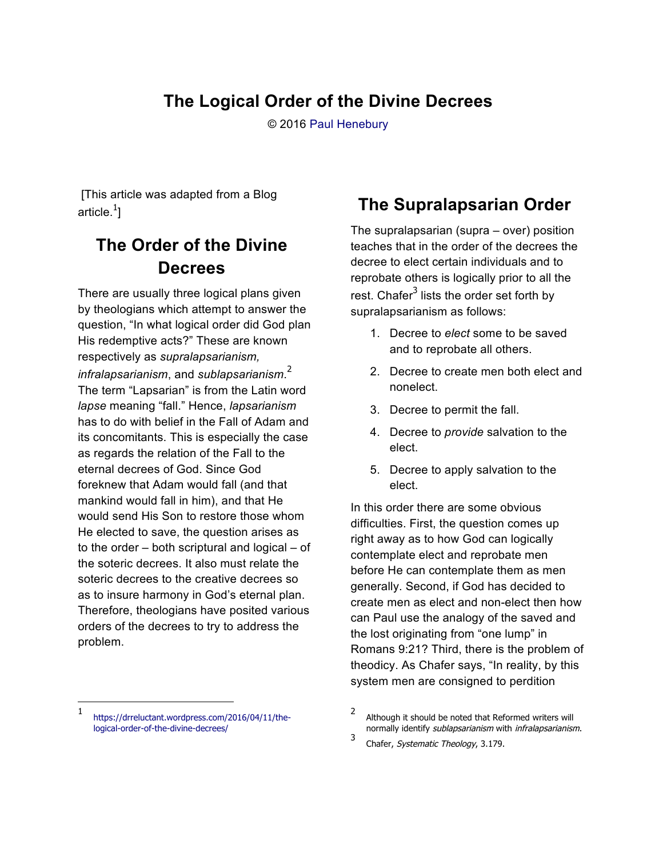### **The Logical Order of the Divine Decrees**

© 2016 Paul Henebury

[This article was adapted from a Blog article. $^1\!]$ 

## **The Order of the Divine Decrees**

There are usually three logical plans given by theologians which attempt to answer the question, "In what logical order did God plan His redemptive acts?" These are known respectively as *supralapsarianism, infralapsarianism*, and *sublapsarianism*. 2 The term "Lapsarian" is from the Latin word *lapse* meaning "fall." Hence, *lapsarianism* has to do with belief in the Fall of Adam and its concomitants. This is especially the case as regards the relation of the Fall to the eternal decrees of God. Since God foreknew that Adam would fall (and that mankind would fall in him), and that He would send His Son to restore those whom He elected to save, the question arises as to the order – both scriptural and logical – of the soteric decrees. It also must relate the soteric decrees to the creative decrees so as to insure harmony in God's eternal plan. Therefore, theologians have posited various orders of the decrees to try to address the problem.

#### 1 https://drreluctant.wordpress.com/2016/04/11/thelogical-order-of-the-divine-decrees/

 $\overline{a}$ 

### **The Supralapsarian Order**

The supralapsarian (supra – over) position teaches that in the order of the decrees the decree to elect certain individuals and to reprobate others is logically prior to all the rest. Chafer<sup>3</sup> lists the order set forth by supralapsarianism as follows:

- 1. Decree to *elect* some to be saved and to reprobate all others.
- 2. Decree to create men both elect and nonelect.
- 3. Decree to permit the fall.
- 4. Decree to *provide* salvation to the elect.
- 5. Decree to apply salvation to the elect.

In this order there are some obvious difficulties. First, the question comes up right away as to how God can logically contemplate elect and reprobate men before He can contemplate them as men generally. Second, if God has decided to create men as elect and non-elect then how can Paul use the analogy of the saved and the lost originating from "one lump" in Romans 9:21? Third, there is the problem of theodicy. As Chafer says, "In reality, by this system men are consigned to perdition

<sup>2</sup> Although it should be noted that Reformed writers will normally identify sublapsarianism with infralapsarianism. 3

Chafer, Systematic Theology, 3.179.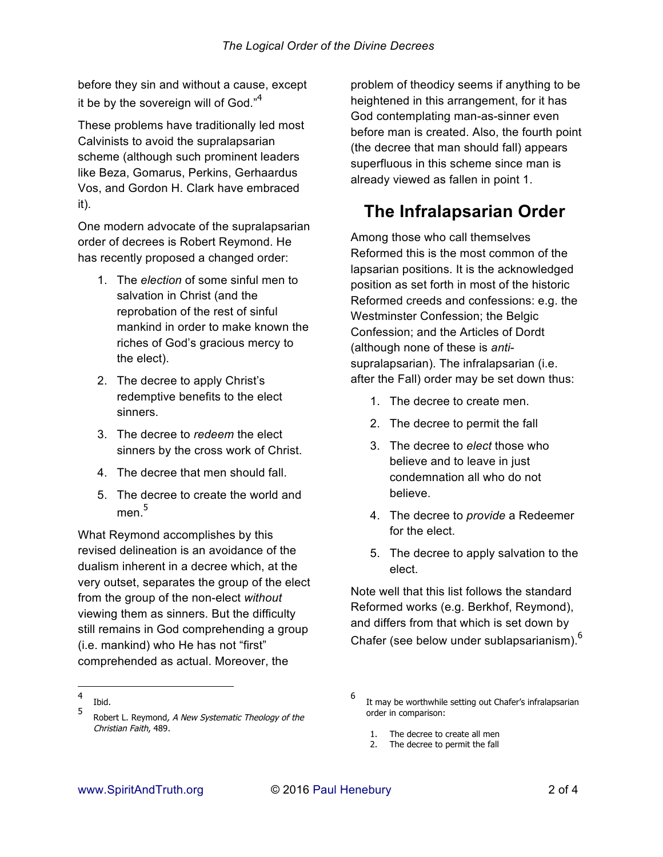before they sin and without a cause, except it be by the sovereign will of God."<sup>4</sup>

These problems have traditionally led most Calvinists to avoid the supralapsarian scheme (although such prominent leaders like Beza, Gomarus, Perkins, Gerhaardus Vos, and Gordon H. Clark have embraced it).

One modern advocate of the supralapsarian order of decrees is Robert Reymond. He has recently proposed a changed order:

- 1. The *election* of some sinful men to salvation in Christ (and the reprobation of the rest of sinful mankind in order to make known the riches of God's gracious mercy to the elect).
- 2. The decree to apply Christ's redemptive benefits to the elect sinners.
- 3. The decree to *redeem* the elect sinners by the cross work of Christ.
- 4. The decree that men should fall.
- 5. The decree to create the world and men $^5$

What Reymond accomplishes by this revised delineation is an avoidance of the dualism inherent in a decree which, at the very outset, separates the group of the elect from the group of the non-elect *without* viewing them as sinners. But the difficulty still remains in God comprehending a group (i.e. mankind) who He has not "first" comprehended as actual. Moreover, the

 $\overline{a}$ 

problem of theodicy seems if anything to be heightened in this arrangement, for it has God contemplating man-as-sinner even before man is created. Also, the fourth point (the decree that man should fall) appears superfluous in this scheme since man is already viewed as fallen in point 1.

# **The Infralapsarian Order**

Among those who call themselves Reformed this is the most common of the lapsarian positions. It is the acknowledged position as set forth in most of the historic Reformed creeds and confessions: e.g. the Westminster Confession; the Belgic Confession; and the Articles of Dordt (although none of these is *anti*supralapsarian). The infralapsarian (i.e. after the Fall) order may be set down thus:

- 1. The decree to create men.
- 2. The decree to permit the fall
- 3. The decree to *elect* those who believe and to leave in just condemnation all who do not believe.
- 4. The decree to *provide* a Redeemer for the elect.
- 5. The decree to apply salvation to the elect.

Note well that this list follows the standard Reformed works (e.g. Berkhof, Reymond), and differs from that which is set down by Chafer (see below under sublapsarianism). $<sup>6</sup>$ </sup>

- 1. The decree to create all men
- 2. The decree to permit the fall

<sup>4</sup> Ibid.

<sup>5</sup> Robert L. Reymond, A New Systematic Theology of the Christian Faith, 489.

<sup>6</sup> It may be worthwhile setting out Chafer's infralapsarian order in comparison: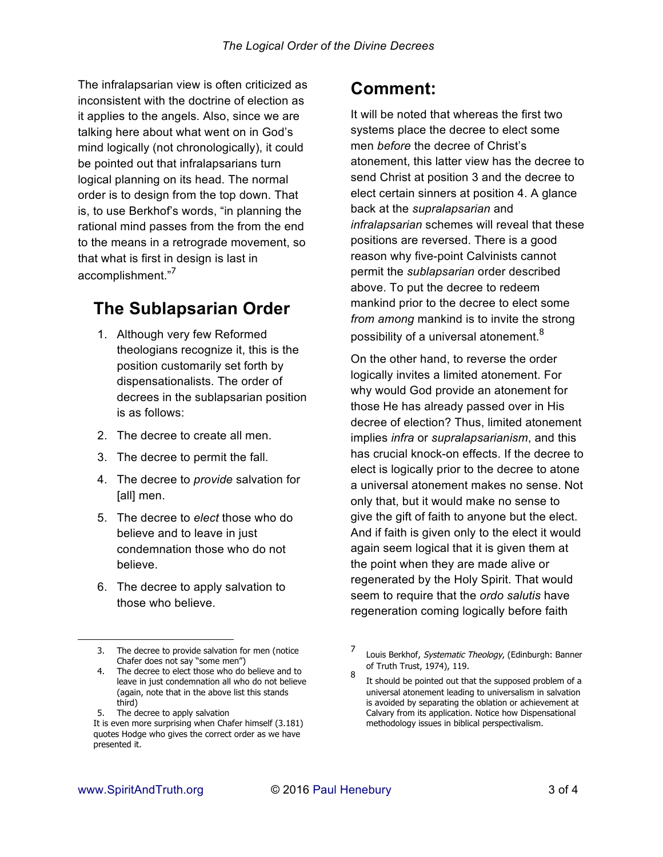The infralapsarian view is often criticized as inconsistent with the doctrine of election as it applies to the angels. Also, since we are talking here about what went on in God's mind logically (not chronologically), it could be pointed out that infralapsarians turn logical planning on its head. The normal order is to design from the top down. That is, to use Berkhof's words, "in planning the rational mind passes from the from the end to the means in a retrograde movement, so that what is first in design is last in accomplishment."<sup>7</sup>

### **The Sublapsarian Order**

- 1. Although very few Reformed theologians recognize it, this is the position customarily set forth by dispensationalists. The order of decrees in the sublapsarian position is as follows:
- 2. The decree to create all men.
- 3. The decree to permit the fall.
- 4. The decree to *provide* salvation for [all] men.
- 5. The decree to *elect* those who do believe and to leave in just condemnation those who do not believe.
- 6. The decree to apply salvation to those who believe.

5. The decree to apply salvation

#### **Comment:**

It will be noted that whereas the first two systems place the decree to elect some men *before* the decree of Christ's atonement, this latter view has the decree to send Christ at position 3 and the decree to elect certain sinners at position 4. A glance back at the *supralapsarian* and *infralapsarian* schemes will reveal that these positions are reversed. There is a good reason why five-point Calvinists cannot permit the *sublapsarian* order described above. To put the decree to redeem mankind prior to the decree to elect some *from among* mankind is to invite the strong possibility of a universal atonement.<sup>8</sup>

On the other hand, to reverse the order logically invites a limited atonement. For why would God provide an atonement for those He has already passed over in His decree of election? Thus, limited atonement implies *infra* or *supralapsarianism*, and this has crucial knock-on effects. If the decree to elect is logically prior to the decree to atone a universal atonement makes no sense. Not only that, but it would make no sense to give the gift of faith to anyone but the elect. And if faith is given only to the elect it would again seem logical that it is given them at the point when they are made alive or regenerated by the Holy Spirit. That would seem to require that the *ordo salutis* have regeneration coming logically before faith

 $\overline{a}$ 

<sup>3.</sup> The decree to provide salvation for men (notice Chafer does not say "some men")

<sup>4.</sup> The decree to elect those who do believe and to leave in just condemnation all who do not believe (again, note that in the above list this stands third)

It is even more surprising when Chafer himself (3.181) quotes Hodge who gives the correct order as we have presented it.

<sup>7</sup> Louis Berkhof, Systematic Theology, (Edinburgh: Banner of Truth Trust, 1974), 119.

<sup>8</sup> It should be pointed out that the supposed problem of a universal atonement leading to universalism in salvation is avoided by separating the oblation or achievement at Calvary from its application. Notice how Dispensational methodology issues in biblical perspectivalism.